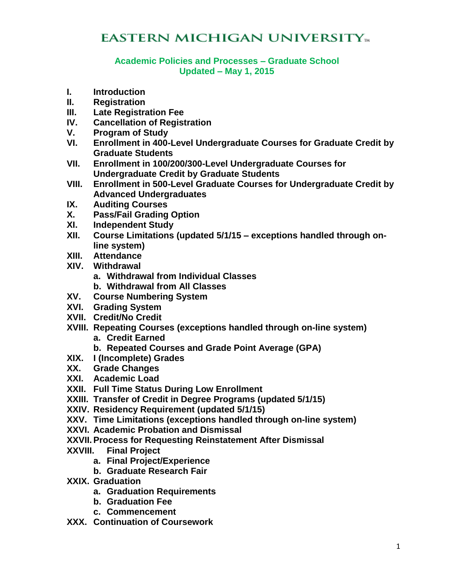# **EASTERN MICHIGAN UNIVERSITY**<sub>m</sub>

#### **Academic Policies and Processes – Graduate School Updated – May 1, 2015**

- **I. Introduction**
- **II. Registration**
- **III. Late Registration Fee**
- **IV. Cancellation of Registration**
- **V. Program of Study**
- **VI. Enrollment in 400-Level Undergraduate Courses for Graduate Credit by Graduate Students**
- **VII. Enrollment in 100/200/300-Level Undergraduate Courses for Undergraduate Credit by Graduate Students**
- **VIII. Enrollment in 500-Level Graduate Courses for Undergraduate Credit by Advanced Undergraduates**
- **IX. Auditing Courses**
- **X. Pass/Fail Grading Option**
- **XI. Independent Study**
- **XII. Course Limitations (updated 5/1/15 – exceptions handled through online system)**
- **XIII. Attendance**
- **XIV. Withdrawal**
	- **a. Withdrawal from Individual Classes**
	- **b. Withdrawal from All Classes**
- **XV. Course Numbering System**
- **XVI. Grading System**
- **XVII. Credit/No Credit**
- **XVIII. Repeating Courses (exceptions handled through on-line system)**
	- **a. Credit Earned**
	- **b. Repeated Courses and Grade Point Average (GPA)**
- **XIX. I (Incomplete) Grades**
- **XX. Grade Changes**
- **XXI. Academic Load**
- **XXII. Full Time Status During Low Enrollment**
- **XXIII. Transfer of Credit in Degree Programs (updated 5/1/15)**
- **XXIV. Residency Requirement (updated 5/1/15)**
- **XXV. Time Limitations (exceptions handled through on-line system)**
- **XXVI. Academic Probation and Dismissal**
- **XXVII.Process for Requesting Reinstatement After Dismissal**
- **XXVIII. Final Project**
	- **a. Final Project/Experience**
	- **b. Graduate Research Fair**
- **XXIX. Graduation**
	- **a. Graduation Requirements**
	- **b. Graduation Fee**
	- **c. Commencement**
- **XXX. Continuation of Coursework**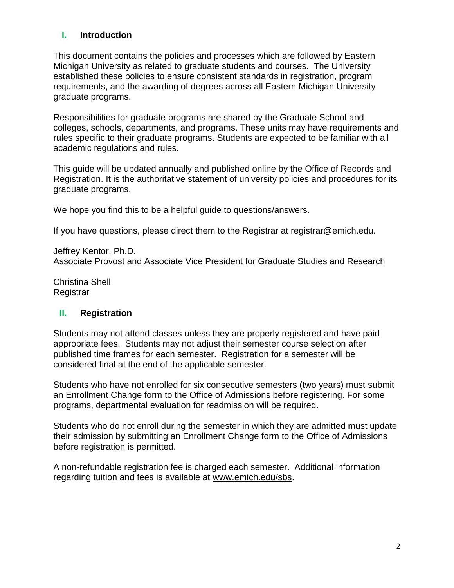## **I. Introduction**

This document contains the policies and processes which are followed by Eastern Michigan University as related to graduate students and courses. The University established these policies to ensure consistent standards in registration, program requirements, and the awarding of degrees across all Eastern Michigan University graduate programs.

Responsibilities for graduate programs are shared by the Graduate School and colleges, schools, departments, and programs. These units may have requirements and rules specific to their graduate programs. Students are expected to be familiar with all academic regulations and rules.

This guide will be updated annually and published online by the Office of Records and Registration. It is the authoritative statement of university policies and procedures for its graduate programs.

We hope you find this to be a helpful guide to questions/answers.

If you have questions, please direct them to the Registrar at registrar@emich.edu.

Jeffrey Kentor, Ph.D. Associate Provost and Associate Vice President for Graduate Studies and Research

Christina Shell Registrar

#### **II. Registration**

Students may not attend classes unless they are properly registered and have paid appropriate fees. Students may not adjust their semester course selection after published time frames for each semester. Registration for a semester will be considered final at the end of the applicable semester.

Students who have not enrolled for six consecutive semesters (two years) must submit an Enrollment Change form to the Office of Admissions before registering. For some programs, departmental evaluation for readmission will be required.

Students who do not enroll during the semester in which they are admitted must update their admission by submitting an Enrollment Change form to the Office of Admissions before registration is permitted.

A non-refundable registration fee is charged each semester. Additional information regarding tuition and fees is available at [www.emich.edu/sbs.](http://www.emich.edu/sbs)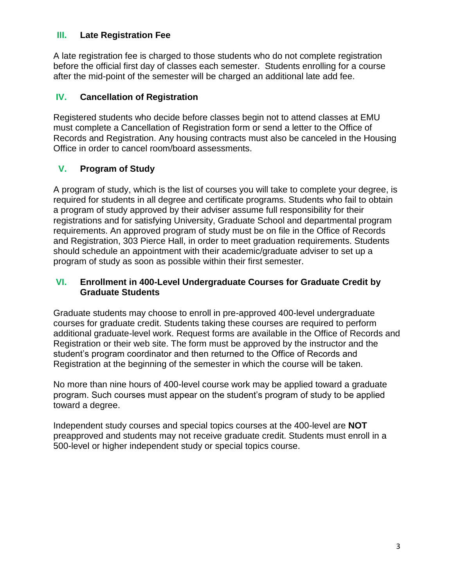#### **III. Late Registration Fee**

A late registration fee is charged to those students who do not complete registration before the official first day of classes each semester. Students enrolling for a course after the mid-point of the semester will be charged an additional late add fee.

## **IV. Cancellation of Registration**

Registered students who decide before classes begin not to attend classes at EMU must complete a Cancellation of Registration form or send a letter to the Office of Records and Registration. Any housing contracts must also be canceled in the Housing Office in order to cancel room/board assessments.

## **V. Program of Study**

A program of study, which is the list of courses you will take to complete your degree, is required for students in all degree and certificate programs. Students who fail to obtain a program of study approved by their adviser assume full responsibility for their registrations and for satisfying University, Graduate School and departmental program requirements. An approved program of study must be on file in the Office of Records and Registration, 303 Pierce Hall, in order to meet graduation requirements. Students should schedule an appointment with their academic/graduate adviser to set up a program of study as soon as possible within their first semester.

#### **VI. Enrollment in 400-Level Undergraduate Courses for Graduate Credit by Graduate Students**

Graduate students may choose to enroll in pre-approved 400-level undergraduate courses for graduate credit. Students taking these courses are required to perform additional graduate-level work. Request forms are available in the Office of Records and Registration or their web site. The form must be approved by the instructor and the student's program coordinator and then returned to the Office of Records and Registration at the beginning of the semester in which the course will be taken.

No more than nine hours of 400-level course work may be applied toward a graduate program. Such courses must appear on the student's program of study to be applied toward a degree.

Independent study courses and special topics courses at the 400-level are **NOT** preapproved and students may not receive graduate credit. Students must enroll in a 500-level or higher independent study or special topics course.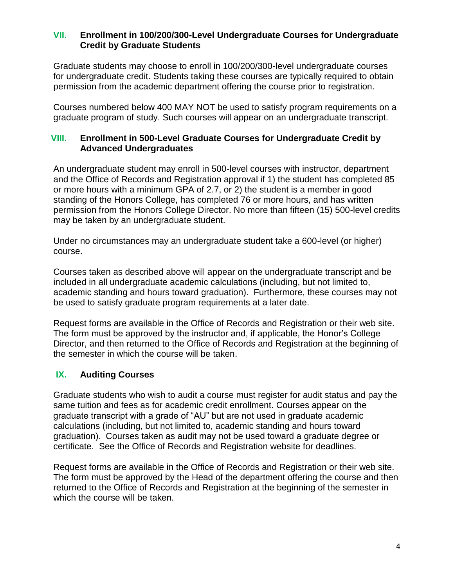#### **VII. Enrollment in 100/200/300-Level Undergraduate Courses for Undergraduate Credit by Graduate Students**

Graduate students may choose to enroll in 100/200/300-level undergraduate courses for undergraduate credit. Students taking these courses are typically required to obtain permission from the academic department offering the course prior to registration.

Courses numbered below 400 MAY NOT be used to satisfy program requirements on a graduate program of study. Such courses will appear on an undergraduate transcript.

## **VIII. Enrollment in 500-Level Graduate Courses for Undergraduate Credit by Advanced Undergraduates**

An undergraduate student may enroll in 500-level courses with instructor, department and the Office of Records and Registration approval if 1) the student has completed 85 or more hours with a minimum GPA of 2.7, or 2) the student is a member in good standing of the Honors College, has completed 76 or more hours, and has written permission from the Honors College Director. No more than fifteen (15) 500-level credits may be taken by an undergraduate student.

Under no circumstances may an undergraduate student take a 600-level (or higher) course.

Courses taken as described above will appear on the undergraduate transcript and be included in all undergraduate academic calculations (including, but not limited to, academic standing and hours toward graduation). Furthermore, these courses may not be used to satisfy graduate program requirements at a later date.

Request forms are available in the Office of Records and Registration or their web site. The form must be approved by the instructor and, if applicable, the Honor's College Director, and then returned to the Office of Records and Registration at the beginning of the semester in which the course will be taken.

## **IX. Auditing Courses**

Graduate students who wish to audit a course must register for audit status and pay the same tuition and fees as for academic credit enrollment. Courses appear on the graduate transcript with a grade of "AU" but are not used in graduate academic calculations (including, but not limited to, academic standing and hours toward graduation). Courses taken as audit may not be used toward a graduate degree or certificate. See the Office of Records and Registration website for deadlines.

Request forms are available in the Office of Records and Registration or their web site. The form must be approved by the Head of the department offering the course and then returned to the Office of Records and Registration at the beginning of the semester in which the course will be taken.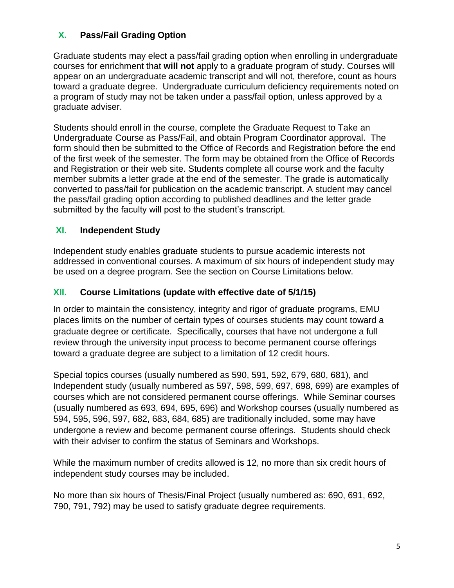# **X. Pass/Fail Grading Option**

Graduate students may elect a pass/fail grading option when enrolling in undergraduate courses for enrichment that **will not** apply to a graduate program of study. Courses will appear on an undergraduate academic transcript and will not, therefore, count as hours toward a graduate degree. Undergraduate curriculum deficiency requirements noted on a program of study may not be taken under a pass/fail option, unless approved by a graduate adviser.

Students should enroll in the course, complete the Graduate Request to Take an Undergraduate Course as Pass/Fail, and obtain Program Coordinator approval. The form should then be submitted to the Office of Records and Registration before the end of the first week of the semester. The form may be obtained from the Office of Records and Registration or their web site. Students complete all course work and the faculty member submits a letter grade at the end of the semester. The grade is automatically converted to pass/fail for publication on the academic transcript. A student may cancel the pass/fail grading option according to published deadlines and the letter grade submitted by the faculty will post to the student's transcript.

## **XI. Independent Study**

Independent study enables graduate students to pursue academic interests not addressed in conventional courses. A maximum of six hours of independent study may be used on a degree program. See the section on Course Limitations below.

# **XII. Course Limitations (update with effective date of 5/1/15)**

In order to maintain the consistency, integrity and rigor of graduate programs, EMU places limits on the number of certain types of courses students may count toward a graduate degree or certificate. Specifically, courses that have not undergone a full review through the university input process to become permanent course offerings toward a graduate degree are subject to a limitation of 12 credit hours.

Special topics courses (usually numbered as 590, 591, 592, 679, 680, 681), and Independent study (usually numbered as 597, 598, 599, 697, 698, 699) are examples of courses which are not considered permanent course offerings. While Seminar courses (usually numbered as 693, 694, 695, 696) and Workshop courses (usually numbered as 594, 595, 596, 597, 682, 683, 684, 685) are traditionally included, some may have undergone a review and become permanent course offerings. Students should check with their adviser to confirm the status of Seminars and Workshops.

While the maximum number of credits allowed is 12, no more than six credit hours of independent study courses may be included.

No more than six hours of Thesis/Final Project (usually numbered as: 690, 691, 692, 790, 791, 792) may be used to satisfy graduate degree requirements.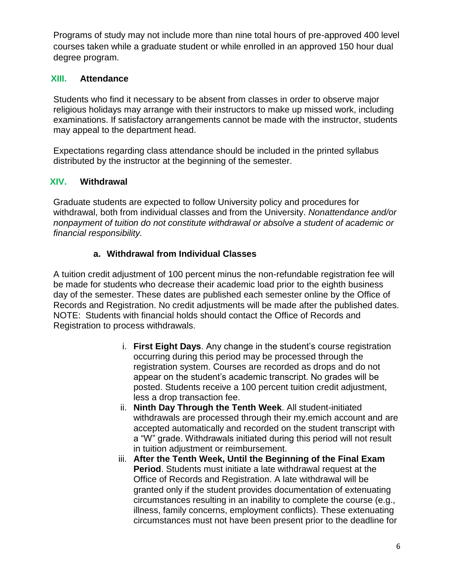Programs of study may not include more than nine total hours of pre-approved 400 level courses taken while a graduate student or while enrolled in an approved 150 hour dual degree program.

#### **XIII. Attendance**

Students who find it necessary to be absent from classes in order to observe major religious holidays may arrange with their instructors to make up missed work, including examinations. If satisfactory arrangements cannot be made with the instructor, students may appeal to the department head.

Expectations regarding class attendance should be included in the printed syllabus distributed by the instructor at the beginning of the semester.

#### **XIV. Withdrawal**

Graduate students are expected to follow University policy and procedures for withdrawal, both from individual classes and from the University. *Nonattendance and/or nonpayment of tuition do not constitute withdrawal or absolve a student of academic or financial responsibility.*

## **a. Withdrawal from Individual Classes**

A tuition credit adjustment of 100 percent minus the non-refundable registration fee will be made for students who decrease their academic load prior to the eighth business day of the semester. These dates are published each semester online by the Office of Records and Registration. No credit adjustments will be made after the published dates. NOTE: Students with financial holds should contact the Office of Records and Registration to process withdrawals.

- i. **First Eight Days**. Any change in the student's course registration occurring during this period may be processed through the registration system. Courses are recorded as drops and do not appear on the student's academic transcript. No grades will be posted. Students receive a 100 percent tuition credit adjustment, less a drop transaction fee.
- ii. **Ninth Day Through the Tenth Week**. All student-initiated withdrawals are processed through their my.emich account and are accepted automatically and recorded on the student transcript with a "W" grade. Withdrawals initiated during this period will not result in tuition adjustment or reimbursement.
- iii. **After the Tenth Week, Until the Beginning of the Final Exam Period**. Students must initiate a late withdrawal request at the Office of Records and Registration. A late withdrawal will be granted only if the student provides documentation of extenuating circumstances resulting in an inability to complete the course (e.g., illness, family concerns, employment conflicts). These extenuating circumstances must not have been present prior to the deadline for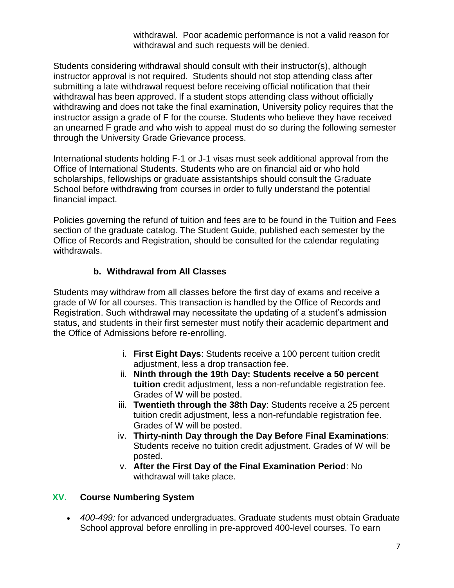withdrawal. Poor academic performance is not a valid reason for withdrawal and such requests will be denied.

Students considering withdrawal should consult with their instructor(s), although instructor approval is not required. Students should not stop attending class after submitting a late withdrawal request before receiving official notification that their withdrawal has been approved. If a student stops attending class without officially withdrawing and does not take the final examination, University policy requires that the instructor assign a grade of F for the course. Students who believe they have received an unearned F grade and who wish to appeal must do so during the following semester through the University Grade Grievance process.

International students holding F-1 or J-1 visas must seek additional approval from the Office of International Students. Students who are on financial aid or who hold scholarships, fellowships or graduate assistantships should consult the Graduate School before withdrawing from courses in order to fully understand the potential financial impact.

Policies governing the refund of tuition and fees are to be found in the Tuition and Fees section of the graduate catalog. The Student Guide, published each semester by the Office of Records and Registration, should be consulted for the calendar regulating withdrawals.

# **b. Withdrawal from All Classes**

Students may withdraw from all classes before the first day of exams and receive a grade of W for all courses. This transaction is handled by the Office of Records and Registration. Such withdrawal may necessitate the updating of a student's admission status, and students in their first semester must notify their academic department and the Office of Admissions before re-enrolling.

- i. **First Eight Days**: Students receive a 100 percent tuition credit adjustment, less a drop transaction fee.
- ii. **Ninth through the 19th Day: Students receive a 50 percent tuition c**redit adjustment, less a non-refundable registration fee. Grades of W will be posted.
- iii. **Twentieth through the 38th Day**: Students receive a 25 percent tuition credit adjustment, less a non-refundable registration fee. Grades of W will be posted.
- iv. **Thirty-ninth Day through the Day Before Final Examinations**: Students receive no tuition credit adjustment. Grades of W will be posted.
- v. **After the First Day of the Final Examination Period**: No withdrawal will take place.

## **XV. Course Numbering System**

 *400-499:* for advanced undergraduates. Graduate students must obtain Graduate School approval before enrolling in pre-approved 400-level courses. To earn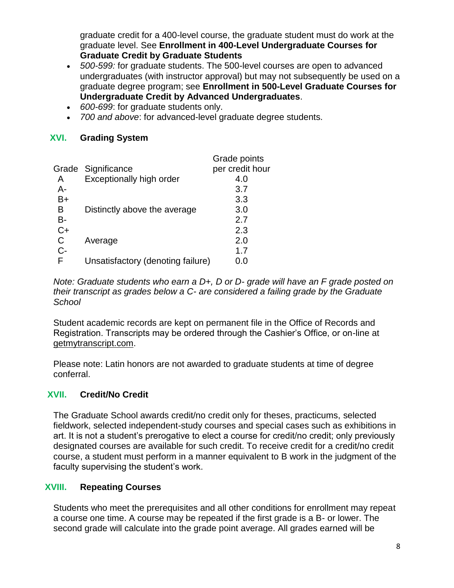graduate credit for a 400-level course, the graduate student must do work at the graduate level. See **Enrollment in 400-Level Undergraduate Courses for Graduate Credit by Graduate Students**

- *500-599:* for graduate students. The 500-level courses are open to advanced undergraduates (with instructor approval) but may not subsequently be used on a graduate degree program; see **Enrollment in 500-Level Graduate Courses for Undergraduate Credit by Advanced Undergraduates**.
- *600-699*: for graduate students only.
- *700 and above*: for advanced-level graduate degree students.

#### **XVI. Grading System**

|       |                                   | Grade points    |
|-------|-----------------------------------|-----------------|
| Grade | Significance                      | per credit hour |
| A     | Exceptionally high order          | 4.0             |
| $A-$  |                                   | 3.7             |
| B+    |                                   | 3.3             |
| в     | Distinctly above the average      | 3.0             |
| B-    |                                   | 2.7             |
| $C+$  |                                   | 2.3             |
| C     | Average                           | 2.0             |
| $C-$  |                                   | 1.7             |
| F     | Unsatisfactory (denoting failure) | 0.0             |
|       |                                   |                 |

*Note: Graduate students who earn a D+, D or D- grade will have an F grade posted on their transcript as grades below a C- are considered a failing grade by the Graduate School*

Student academic records are kept on permanent file in the Office of Records and Registration. Transcripts may be ordered through the Cashier's Office, or on-line at [getmytranscript.com.](http://getmytranscript.com/)

Please note: Latin honors are not awarded to graduate students at time of degree conferral.

## **XVII. Credit/No Credit**

The Graduate School awards credit/no credit only for theses, practicums, selected fieldwork, selected independent-study courses and special cases such as exhibitions in art. It is not a student's prerogative to elect a course for credit/no credit; only previously designated courses are available for such credit. To receive credit for a credit/no credit course, a student must perform in a manner equivalent to B work in the judgment of the faculty supervising the student's work.

## **XVIII. Repeating Courses**

Students who meet the prerequisites and all other conditions for enrollment may repeat a course one time. A course may be repeated if the first grade is a B- or lower. The second grade will calculate into the grade point average. All grades earned will be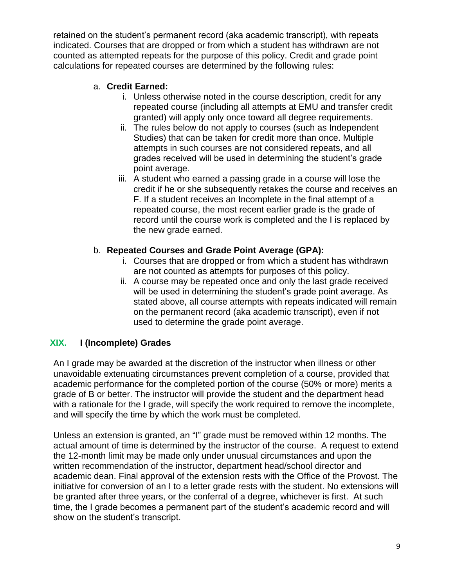retained on the student's permanent record (aka academic transcript), with repeats indicated. Courses that are dropped or from which a student has withdrawn are not counted as attempted repeats for the purpose of this policy. Credit and grade point calculations for repeated courses are determined by the following rules:

## a. **Credit Earned:**

- i. Unless otherwise noted in the course description, credit for any repeated course (including all attempts at EMU and transfer credit granted) will apply only once toward all degree requirements.
- ii. The rules below do not apply to courses (such as Independent Studies) that can be taken for credit more than once. Multiple attempts in such courses are not considered repeats, and all grades received will be used in determining the student's grade point average.
- iii. A student who earned a passing grade in a course will lose the credit if he or she subsequently retakes the course and receives an F. If a student receives an Incomplete in the final attempt of a repeated course, the most recent earlier grade is the grade of record until the course work is completed and the I is replaced by the new grade earned.

## b. **Repeated Courses and Grade Point Average (GPA):**

- i. Courses that are dropped or from which a student has withdrawn are not counted as attempts for purposes of this policy.
- ii. A course may be repeated once and only the last grade received will be used in determining the student's grade point average. As stated above, all course attempts with repeats indicated will remain on the permanent record (aka academic transcript), even if not used to determine the grade point average.

## **XIX. I (Incomplete) Grades**

An I grade may be awarded at the discretion of the instructor when illness or other unavoidable extenuating circumstances prevent completion of a course, provided that academic performance for the completed portion of the course (50% or more) merits a grade of B or better. The instructor will provide the student and the department head with a rationale for the I grade, will specify the work required to remove the incomplete, and will specify the time by which the work must be completed.

Unless an extension is granted, an "I" grade must be removed within 12 months. The actual amount of time is determined by the instructor of the course. A request to extend the 12-month limit may be made only under unusual circumstances and upon the written recommendation of the instructor, department head/school director and academic dean. Final approval of the extension rests with the Office of the Provost. The initiative for conversion of an I to a letter grade rests with the student. No extensions will be granted after three years, or the conferral of a degree, whichever is first. At such time, the I grade becomes a permanent part of the student's academic record and will show on the student's transcript.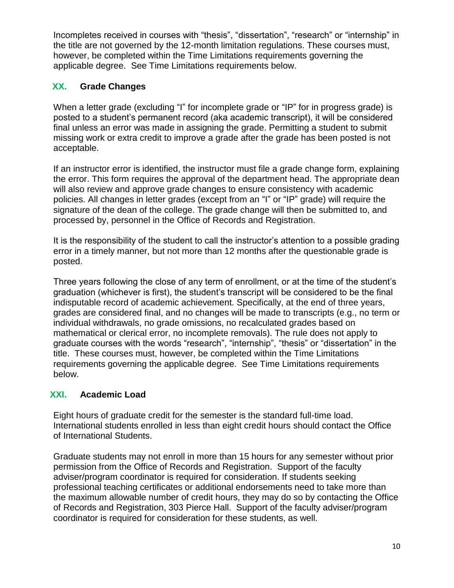Incompletes received in courses with "thesis", "dissertation", "research" or "internship" in the title are not governed by the 12-month limitation regulations. These courses must, however, be completed within the Time Limitations requirements governing the applicable degree. See Time Limitations requirements below.

# **XX. Grade Changes**

When a letter grade (excluding "I" for incomplete grade or "IP" for in progress grade) is posted to a student's permanent record (aka academic transcript), it will be considered final unless an error was made in assigning the grade. Permitting a student to submit missing work or extra credit to improve a grade after the grade has been posted is not acceptable.

If an instructor error is identified, the instructor must file a grade change form, explaining the error. This form requires the approval of the department head. The appropriate dean will also review and approve grade changes to ensure consistency with academic policies. All changes in letter grades (except from an "I" or "IP" grade) will require the signature of the dean of the college. The grade change will then be submitted to, and processed by, personnel in the Office of Records and Registration.

It is the responsibility of the student to call the instructor's attention to a possible grading error in a timely manner, but not more than 12 months after the questionable grade is posted.

Three years following the close of any term of enrollment, or at the time of the student's graduation (whichever is first), the student's transcript will be considered to be the final indisputable record of academic achievement. Specifically, at the end of three years, grades are considered final, and no changes will be made to transcripts (e.g., no term or individual withdrawals, no grade omissions, no recalculated grades based on mathematical or clerical error, no incomplete removals). The rule does not apply to graduate courses with the words "research", "internship", "thesis" or "dissertation" in the title. These courses must, however, be completed within the Time Limitations requirements governing the applicable degree. See Time Limitations requirements below.

## **XXI. Academic Load**

Eight hours of graduate credit for the semester is the standard full-time load. International students enrolled in less than eight credit hours should contact the Office of International Students.

Graduate students may not enroll in more than 15 hours for any semester without prior permission from the Office of Records and Registration. Support of the faculty adviser/program coordinator is required for consideration. If students seeking professional teaching certificates or additional endorsements need to take more than the maximum allowable number of credit hours, they may do so by contacting the Office of Records and Registration, 303 Pierce Hall. Support of the faculty adviser/program coordinator is required for consideration for these students, as well.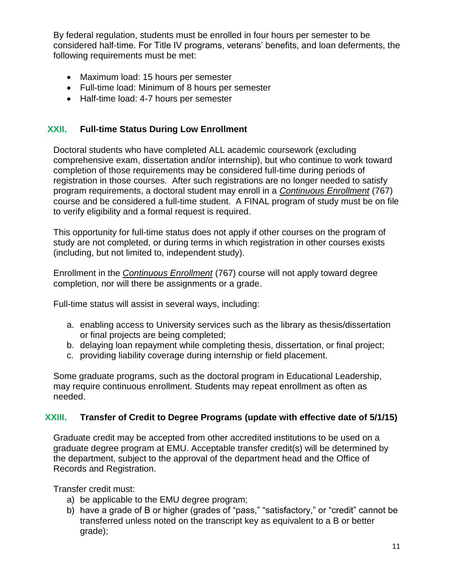By federal regulation, students must be enrolled in four hours per semester to be considered half-time. For Title IV programs, veterans' benefits, and loan deferments, the following requirements must be met:

- Maximum load: 15 hours per semester
- Full-time load: Minimum of 8 hours per semester
- Half-time load: 4-7 hours per semester

## **XXII. Full-time Status During Low Enrollment**

Doctoral students who have completed ALL academic coursework (excluding comprehensive exam, dissertation and/or internship), but who continue to work toward completion of those requirements may be considered full-time during periods of registration in those courses. After such registrations are no longer needed to satisfy program requirements, a doctoral student may enroll in a *Continuous Enrollment* (767) course and be considered a full-time student. A FINAL program of study must be on file to verify eligibility and a formal request is required.

This opportunity for full-time status does not apply if other courses on the program of study are not completed, or during terms in which registration in other courses exists (including, but not limited to, independent study).

Enrollment in the *Continuous Enrollment* (767) course will not apply toward degree completion, nor will there be assignments or a grade.

Full-time status will assist in several ways, including:

- a. enabling access to University services such as the library as thesis/dissertation or final projects are being completed;
- b. delaying loan repayment while completing thesis, dissertation, or final project;
- c. providing liability coverage during internship or field placement.

Some graduate programs, such as the doctoral program in Educational Leadership, may require continuous enrollment. Students may repeat enrollment as often as needed.

#### **XXIII. Transfer of Credit to Degree Programs (update with effective date of 5/1/15)**

Graduate credit may be accepted from other accredited institutions to be used on a graduate degree program at EMU. Acceptable transfer credit(s) will be determined by the department, subject to the approval of the department head and the Office of Records and Registration.

Transfer credit must:

- a) be applicable to the EMU degree program;
- b) have a grade of B or higher (grades of "pass," "satisfactory," or "credit" cannot be transferred unless noted on the transcript key as equivalent to a B or better grade);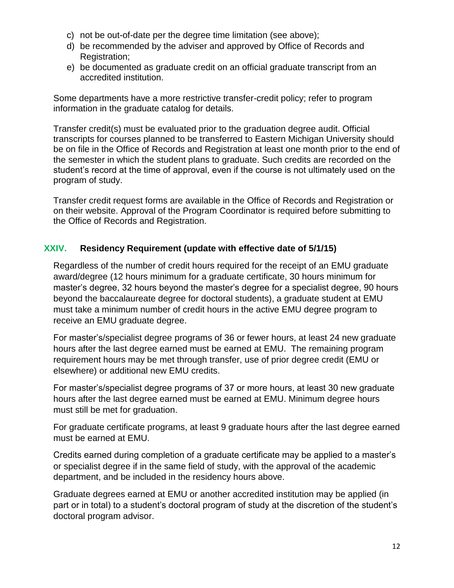- c) not be out-of-date per the degree time limitation (see above);
- d) be recommended by the adviser and approved by Office of Records and Registration;
- e) be documented as graduate credit on an official graduate transcript from an accredited institution.

Some departments have a more restrictive transfer-credit policy; refer to program information in the graduate catalog for details.

Transfer credit(s) must be evaluated prior to the graduation degree audit. Official transcripts for courses planned to be transferred to Eastern Michigan University should be on file in the Office of Records and Registration at least one month prior to the end of the semester in which the student plans to graduate. Such credits are recorded on the student's record at the time of approval, even if the course is not ultimately used on the program of study.

Transfer credit request forms are available in the Office of Records and Registration or on their website. Approval of the Program Coordinator is required before submitting to the Office of Records and Registration.

# **XXIV. Residency Requirement (update with effective date of 5/1/15)**

Regardless of the number of credit hours required for the receipt of an EMU graduate award/degree (12 hours minimum for a graduate certificate, 30 hours minimum for master's degree, 32 hours beyond the master's degree for a specialist degree, 90 hours beyond the baccalaureate degree for doctoral students), a graduate student at EMU must take a minimum number of credit hours in the active EMU degree program to receive an EMU graduate degree.

For master's/specialist degree programs of 36 or fewer hours, at least 24 new graduate hours after the last degree earned must be earned at EMU. The remaining program requirement hours may be met through transfer, use of prior degree credit (EMU or elsewhere) or additional new EMU credits.

For master's/specialist degree programs of 37 or more hours, at least 30 new graduate hours after the last degree earned must be earned at EMU. Minimum degree hours must still be met for graduation.

For graduate certificate programs, at least 9 graduate hours after the last degree earned must be earned at EMU.

Credits earned during completion of a graduate certificate may be applied to a master's or specialist degree if in the same field of study, with the approval of the academic department, and be included in the residency hours above.

Graduate degrees earned at EMU or another accredited institution may be applied (in part or in total) to a student's doctoral program of study at the discretion of the student's doctoral program advisor.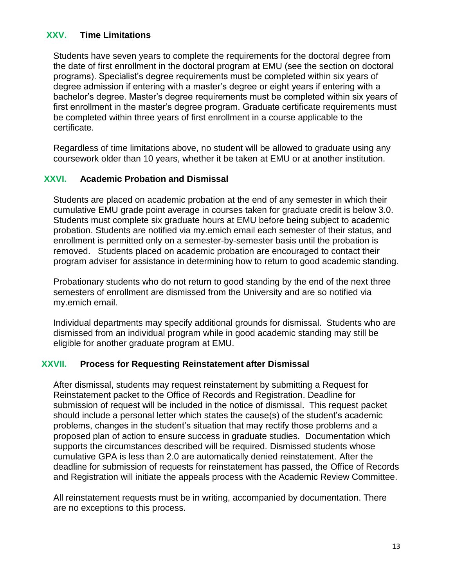#### **XXV. Time Limitations**

Students have seven years to complete the requirements for the doctoral degree from the date of first enrollment in the doctoral program at EMU (see the section on doctoral programs). Specialist's degree requirements must be completed within six years of degree admission if entering with a master's degree or eight years if entering with a bachelor's degree. Master's degree requirements must be completed within six years of first enrollment in the master's degree program. Graduate certificate requirements must be completed within three years of first enrollment in a course applicable to the certificate.

Regardless of time limitations above, no student will be allowed to graduate using any coursework older than 10 years, whether it be taken at EMU or at another institution.

#### **XXVI. Academic Probation and Dismissal**

Students are placed on academic probation at the end of any semester in which their cumulative EMU grade point average in courses taken for graduate credit is below 3.0. Students must complete six graduate hours at EMU before being subject to academic probation. Students are notified via my.emich email each semester of their status, and enrollment is permitted only on a semester-by-semester basis until the probation is removed. Students placed on academic probation are encouraged to contact their program adviser for assistance in determining how to return to good academic standing.

Probationary students who do not return to good standing by the end of the next three semesters of enrollment are dismissed from the University and are so notified via my.emich email.

Individual departments may specify additional grounds for dismissal. Students who are dismissed from an individual program while in good academic standing may still be eligible for another graduate program at EMU.

#### **XXVII. Process for Requesting Reinstatement after Dismissal**

After dismissal, students may request reinstatement by submitting a Request for Reinstatement packet to the Office of Records and Registration. Deadline for submission of request will be included in the notice of dismissal. This request packet should include a personal letter which states the cause(s) of the student's academic problems, changes in the student's situation that may rectify those problems and a proposed plan of action to ensure success in graduate studies. Documentation which supports the circumstances described will be required. Dismissed students whose cumulative GPA is less than 2.0 are automatically denied reinstatement. After the deadline for submission of requests for reinstatement has passed, the Office of Records and Registration will initiate the appeals process with the Academic Review Committee.

All reinstatement requests must be in writing, accompanied by documentation. There are no exceptions to this process.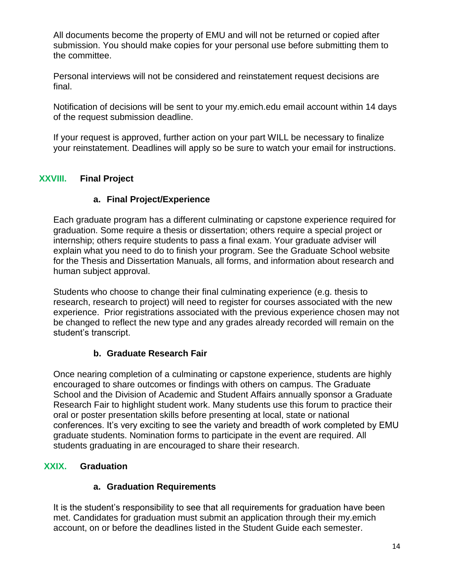All documents become the property of EMU and will not be returned or copied after submission. You should make copies for your personal use before submitting them to the committee.

Personal interviews will not be considered and reinstatement request decisions are final.

Notification of decisions will be sent to your my.emich.edu email account within 14 days of the request submission deadline.

If your request is approved, further action on your part WILL be necessary to finalize your reinstatement. Deadlines will apply so be sure to watch your email for instructions.

# **XXVIII. Final Project**

## **a. Final Project/Experience**

Each graduate program has a different culminating or capstone experience required for graduation. Some require a thesis or dissertation; others require a special project or internship; others require students to pass a final exam. Your graduate adviser will explain what you need to do to finish your program. See the Graduate School website for the Thesis and Dissertation Manuals, all forms, and information about research and human subject approval.

Students who choose to change their final culminating experience (e.g. thesis to research, research to project) will need to register for courses associated with the new experience. Prior registrations associated with the previous experience chosen may not be changed to reflect the new type and any grades already recorded will remain on the student's transcript.

# **b. Graduate Research Fair**

Once nearing completion of a culminating or capstone experience, students are highly encouraged to share outcomes or findings with others on campus. The Graduate School and the Division of Academic and Student Affairs annually sponsor a Graduate Research Fair to highlight student work. Many students use this forum to practice their oral or poster presentation skills before presenting at local, state or national conferences. It's very exciting to see the variety and breadth of work completed by EMU graduate students. Nomination forms to participate in the event are required. All students graduating in are encouraged to share their research.

# **XXIX. Graduation**

## **a. Graduation Requirements**

It is the student's responsibility to see that all requirements for graduation have been met. Candidates for graduation must submit an application through their my.emich account, on or before the deadlines listed in the Student Guide each semester.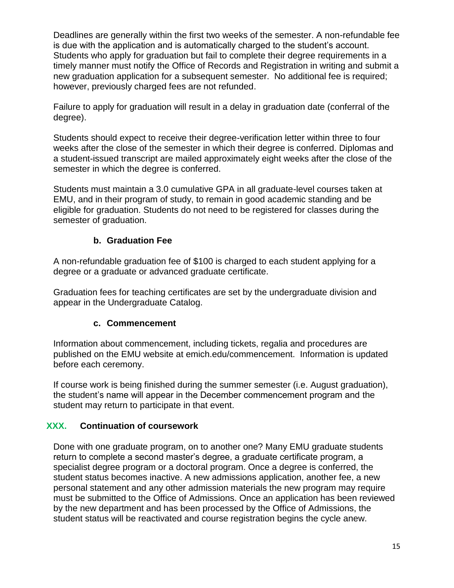Deadlines are generally within the first two weeks of the semester. A non-refundable fee is due with the application and is automatically charged to the student's account. Students who apply for graduation but fail to complete their degree requirements in a timely manner must notify the Office of Records and Registration in writing and submit a new graduation application for a subsequent semester. No additional fee is required; however, previously charged fees are not refunded.

Failure to apply for graduation will result in a delay in graduation date (conferral of the degree).

Students should expect to receive their degree-verification letter within three to four weeks after the close of the semester in which their degree is conferred. Diplomas and a student-issued transcript are mailed approximately eight weeks after the close of the semester in which the degree is conferred.

Students must maintain a 3.0 cumulative GPA in all graduate-level courses taken at EMU, and in their program of study, to remain in good academic standing and be eligible for graduation. Students do not need to be registered for classes during the semester of graduation.

# **b. Graduation Fee**

A non-refundable graduation fee of \$100 is charged to each student applying for a degree or a graduate or advanced graduate certificate.

Graduation fees for teaching certificates are set by the undergraduate division and appear in the Undergraduate Catalog.

## **c. Commencement**

Information about commencement, including tickets, regalia and procedures are published on the EMU website at emich.edu/commencement. Information is updated before each ceremony.

If course work is being finished during the summer semester (i.e. August graduation), the student's name will appear in the December commencement program and the student may return to participate in that event.

## **XXX. Continuation of coursework**

Done with one graduate program, on to another one? Many EMU graduate students return to complete a second master's degree, a graduate certificate program, a specialist degree program or a doctoral program. Once a degree is conferred, the student status becomes inactive. A new admissions application, another fee, a new personal statement and any other admission materials the new program may require must be submitted to the Office of Admissions. Once an application has been reviewed by the new department and has been processed by the Office of Admissions, the student status will be reactivated and course registration begins the cycle anew.